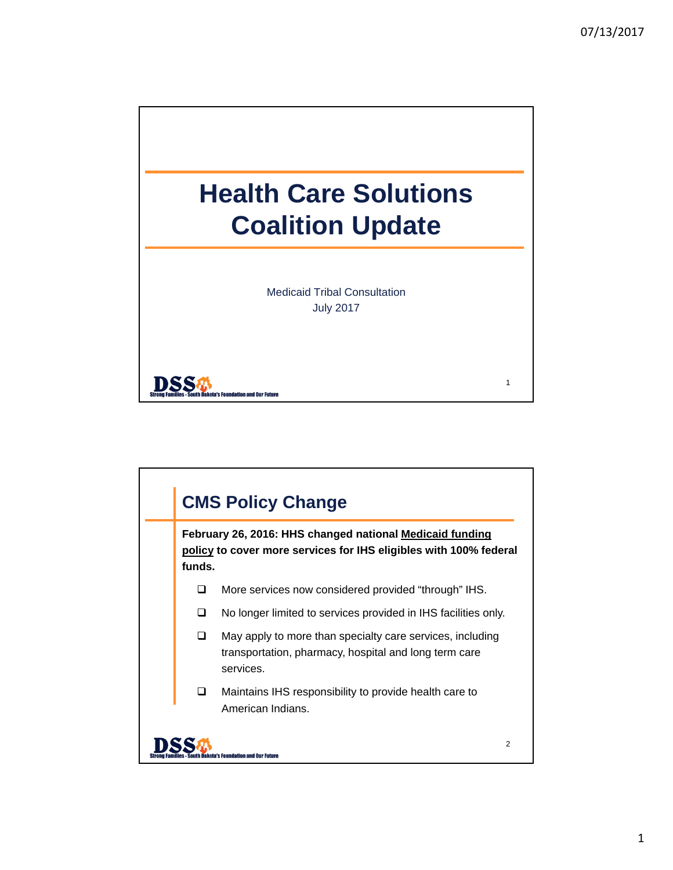

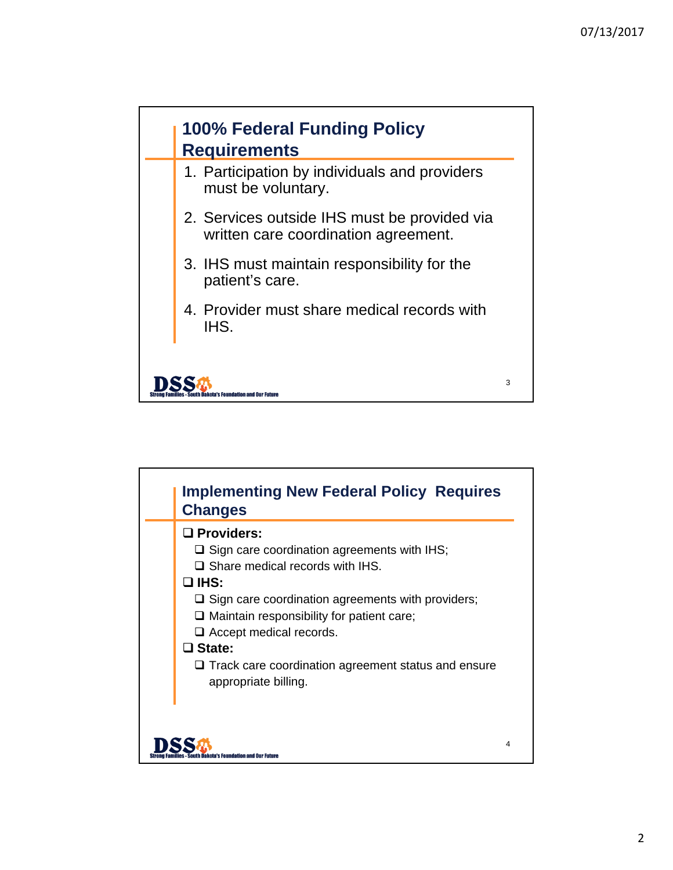3



- 2. Services outside IHS must be provided via written care coordination agreement.
- 3. IHS must maintain responsibility for the patient's care.
- 4. Provider must share medical records with IHS.

**DSS** 

's Foundation and Our Fut<mark>i</mark>

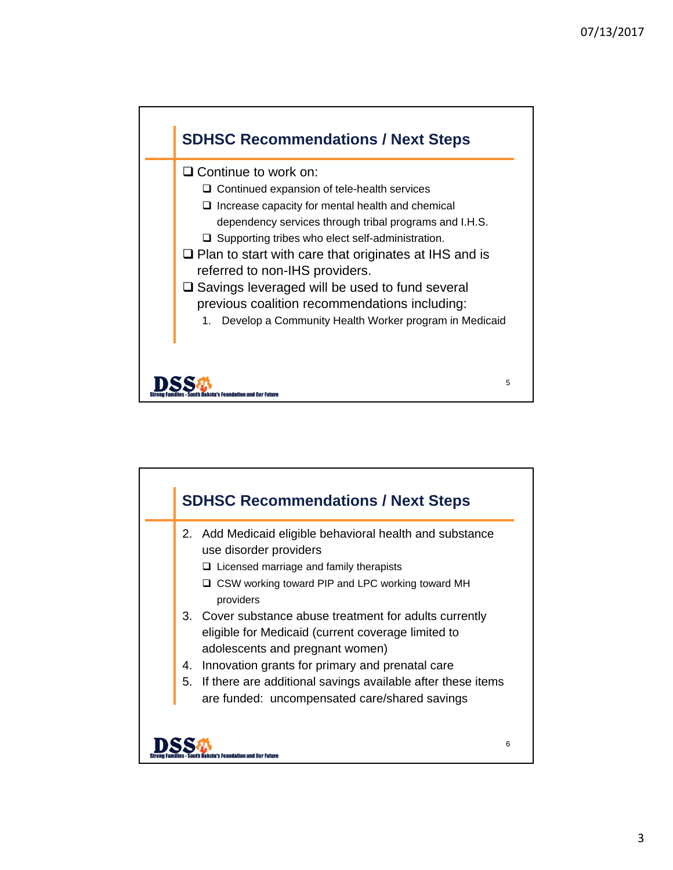